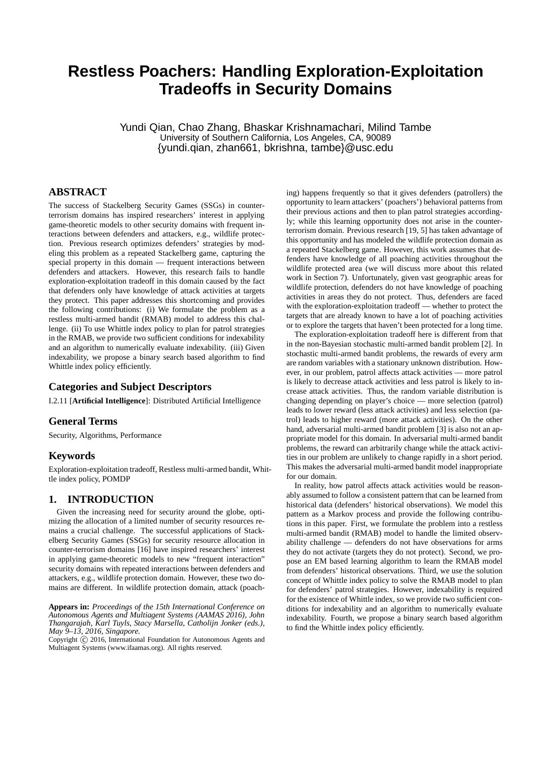# **Restless Poachers: Handling Exploration-Exploitation Tradeoffs in Security Domains**

Yundi Qian, Chao Zhang, Bhaskar Krishnamachari, Milind Tambe University of Southern California, Los Angeles, CA, 90089 {yundi.qian, zhan661, bkrishna, tambe}@usc.edu

# **ABSTRACT**

The success of Stackelberg Security Games (SSGs) in counterterrorism domains has inspired researchers' interest in applying game-theoretic models to other security domains with frequent interactions between defenders and attackers, e.g., wildlife protection. Previous research optimizes defenders' strategies by modeling this problem as a repeated Stackelberg game, capturing the special property in this domain — frequent interactions between defenders and attackers. However, this research fails to handle exploration-exploitation tradeoff in this domain caused by the fact that defenders only have knowledge of attack activities at targets they protect. This paper addresses this shortcoming and provides the following contributions: (i) We formulate the problem as a restless multi-armed bandit (RMAB) model to address this challenge. (ii) To use Whittle index policy to plan for patrol strategies in the RMAB, we provide two sufficient conditions for indexability and an algorithm to numerically evaluate indexability. (iii) Given indexability, we propose a binary search based algorithm to find Whittle index policy efficiently.

## **Categories and Subject Descriptors**

I.2.11 [**Artificial Intelligence**]: Distributed Artificial Intelligence

## **General Terms**

Security, Algorithms, Performance

#### **Keywords**

Exploration-exploitation tradeoff, Restless multi-armed bandit, Whittle index policy, POMDP

## **1. INTRODUCTION**

Given the increasing need for security around the globe, optimizing the allocation of a limited number of security resources remains a crucial challenge. The successful applications of Stackelberg Security Games (SSGs) for security resource allocation in counter-terrorism domains [16] have inspired researchers' interest in applying game-theoretic models to new "frequent interaction" security domains with repeated interactions between defenders and attackers, e.g., wildlife protection domain. However, these two domains are different. In wildlife protection domain, attack (poach-

ing) happens frequently so that it gives defenders (patrollers) the opportunity to learn attackers' (poachers') behavioral patterns from their previous actions and then to plan patrol strategies accordingly; while this learning opportunity does not arise in the counterterrorism domain. Previous research [19, 5] has taken advantage of this opportunity and has modeled the wildlife protection domain as a repeated Stackelberg game. However, this work assumes that defenders have knowledge of all poaching activities throughout the wildlife protected area (we will discuss more about this related work in Section 7). Unfortunately, given vast geographic areas for wildlife protection, defenders do not have knowledge of poaching activities in areas they do not protect. Thus, defenders are faced with the exploration-exploitation tradeoff — whether to protect the targets that are already known to have a lot of poaching activities or to explore the targets that haven't been protected for a long time.

The exploration-exploitation tradeoff here is different from that in the non-Bayesian stochastic multi-armed bandit problem [2]. In stochastic multi-armed bandit problems, the rewards of every arm are random variables with a stationary unknown distribution. However, in our problem, patrol affects attack activities — more patrol is likely to decrease attack activities and less patrol is likely to increase attack activities. Thus, the random variable distribution is changing depending on player's choice — more selection (patrol) leads to lower reward (less attack activities) and less selection (patrol) leads to higher reward (more attack activities). On the other hand, adversarial multi-armed bandit problem [3] is also not an appropriate model for this domain. In adversarial multi-armed bandit problems, the reward can arbitrarily change while the attack activities in our problem are unlikely to change rapidly in a short period. This makes the adversarial multi-armed bandit model inappropriate for our domain.

In reality, how patrol affects attack activities would be reasonably assumed to follow a consistent pattern that can be learned from historical data (defenders' historical observations). We model this pattern as a Markov process and provide the following contributions in this paper. First, we formulate the problem into a restless multi-armed bandit (RMAB) model to handle the limited observability challenge — defenders do not have observations for arms they do not activate (targets they do not protect). Second, we propose an EM based learning algorithm to learn the RMAB model from defenders' historical observations. Third, we use the solution concept of Whittle index policy to solve the RMAB model to plan for defenders' patrol strategies. However, indexability is required for the existence of Whittle index, so we provide two sufficient conditions for indexability and an algorithm to numerically evaluate indexability. Fourth, we propose a binary search based algorithm to find the Whittle index policy efficiently.

**Appears in:** *Proceedings of the 15th International Conference on Autonomous Agents and Multiagent Systems (AAMAS 2016), John Thangarajah, Karl Tuyls, Stacy Marsella, Catholijn Jonker (eds.), May 9–13, 2016, Singapore.*

Copyright © 2016, International Foundation for Autonomous Agents and Multiagent Systems (www.ifaamas.org). All rights reserved.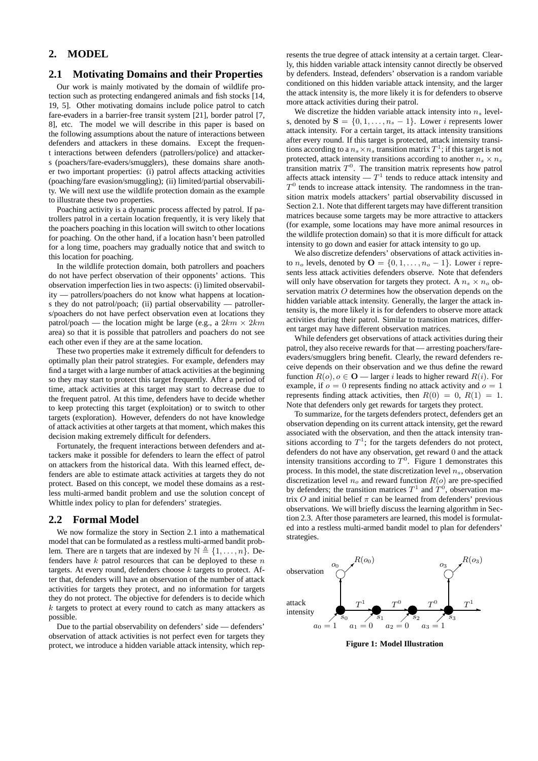## **2. MODEL**

## **2.1 Motivating Domains and their Properties**

Our work is mainly motivated by the domain of wildlife protection such as protecting endangered animals and fish stocks [14, 19, 5]. Other motivating domains include police patrol to catch fare-evaders in a barrier-free transit system [21], border patrol [7, 8], etc. The model we will describe in this paper is based on the following assumptions about the nature of interactions between defenders and attackers in these domains. Except the frequent interactions between defenders (patrollers/police) and attackers (poachers/fare-evaders/smugglers), these domains share another two important properties: (i) patrol affects attacking activities (poaching/fare evasion/smuggling); (ii) limited/partial observability. We will next use the wildlife protection domain as the example to illustrate these two properties.

Poaching activity is a dynamic process affected by patrol. If patrollers patrol in a certain location frequently, it is very likely that the poachers poaching in this location will switch to other locations for poaching. On the other hand, if a location hasn't been patrolled for a long time, poachers may gradually notice that and switch to this location for poaching.

In the wildlife protection domain, both patrollers and poachers do not have perfect observation of their opponents' actions. This observation imperfection lies in two aspects: (i) limited observability — patrollers/poachers do not know what happens at locations they do not patrol/poach; (ii) partial observability — patrollers/poachers do not have perfect observation even at locations they patrol/poach — the location might be large (e.g., a  $2km \times 2km$ area) so that it is possible that patrollers and poachers do not see each other even if they are at the same location.

These two properties make it extremely difficult for defenders to optimally plan their patrol strategies. For example, defenders may find a target with a large number of attack activities at the beginning so they may start to protect this target frequently. After a period of time, attack activities at this target may start to decrease due to the frequent patrol. At this time, defenders have to decide whether to keep protecting this target (exploitation) or to switch to other targets (exploration). However, defenders do not have knowledge of attack activities at other targets at that moment, which makes this decision making extremely difficult for defenders.

Fortunately, the frequent interactions between defenders and attackers make it possible for defenders to learn the effect of patrol on attackers from the historical data. With this learned effect, defenders are able to estimate attack activities at targets they do not protect. Based on this concept, we model these domains as a restless multi-armed bandit problem and use the solution concept of Whittle index policy to plan for defenders' strategies.

#### **2.2 Formal Model**

We now formalize the story in Section 2.1 into a mathematical model that can be formulated as a restless multi-armed bandit problem. There are n targets that are indexed by  $\mathbb{N} \triangleq \{1, \ldots, n\}$ . Defenders have  $k$  patrol resources that can be deployed to these  $n$ targets. At every round, defenders choose  $k$  targets to protect. After that, defenders will have an observation of the number of attack activities for targets they protect, and no information for targets they do not protect. The objective for defenders is to decide which  $k$  targets to protect at every round to catch as many attackers as possible.

Due to the partial observability on defenders' side — defenders' observation of attack activities is not perfect even for targets they protect, we introduce a hidden variable attack intensity, which rep-

resents the true degree of attack intensity at a certain target. Clearly, this hidden variable attack intensity cannot directly be observed by defenders. Instead, defenders' observation is a random variable conditioned on this hidden variable attack intensity, and the larger the attack intensity is, the more likely it is for defenders to observe more attack activities during their patrol.

We discretize the hidden variable attack intensity into  $n_s$  levels, denoted by  $S = \{0, 1, \ldots, n_s - 1\}$ . Lower *i* represents lower attack intensity. For a certain target, its attack intensity transitions after every round. If this target is protected, attack intensity transitions according to a  $n_s \times n_s$  transition matrix  $T^1$ ; if this target is not protected, attack intensity transitions according to another  $n_s \times n_s$ transition matrix  $T^0$ . The transition matrix represents how patrol affects attack intensity  $-T^1$  tends to reduce attack intensity and  $T<sup>0</sup>$  tends to increase attack intensity. The randomness in the transition matrix models attackers' partial observability discussed in Section 2.1. Note that different targets may have different transition matrices because some targets may be more attractive to attackers (for example, some locations may have more animal resources in the wildlife protection domain) so that it is more difficult for attack intensity to go down and easier for attack intensity to go up.

We also discretize defenders' observations of attack activities into  $n_o$  levels, denoted by  $\mathbf{O} = \{0, 1, \dots, n_o - 1\}$ . Lower *i* represents less attack activities defenders observe. Note that defenders will only have observation for targets they protect. A  $n_s \times n_o$  observation matrix O determines how the observation depends on the hidden variable attack intensity. Generally, the larger the attack intensity is, the more likely it is for defenders to observe more attack activities during their patrol. Similar to transition matrices, different target may have different observation matrices.

While defenders get observations of attack activities during their patrol, they also receive rewards for that — arresting poachers/fareevaders/smugglers bring benefit. Clearly, the reward defenders receive depends on their observation and we thus define the reward function  $R(o)$ ,  $o \in \mathbf{O}$  — larger *i* leads to higher reward  $R(i)$ . For example, if  $o = 0$  represents finding no attack activity and  $o = 1$ represents finding attack activities, then  $R(0) = 0, R(1) = 1$ . Note that defenders only get rewards for targets they protect.

To summarize, for the targets defenders protect, defenders get an observation depending on its current attack intensity, get the reward associated with the observation, and then the attack intensity transitions according to  $T^1$ ; for the targets defenders do not protect, defenders do not have any observation, get reward 0 and the attack intensity transitions according to  $T^0$ . Figure 1 demonstrates this process. In this model, the state discretization level  $n<sub>s</sub>$ , observation discretization level  $n_o$  and reward function  $R(o)$  are pre-specified by defenders; the transition matrices  $T^1$  and  $T^0$ , observation matrix  $O$  and initial belief  $\pi$  can be learned from defenders' previous observations. We will briefly discuss the learning algorithm in Section 2.3. After those parameters are learned, this model is formulated into a restless multi-armed bandit model to plan for defenders' strategies.



**Figure 1: Model Illustration**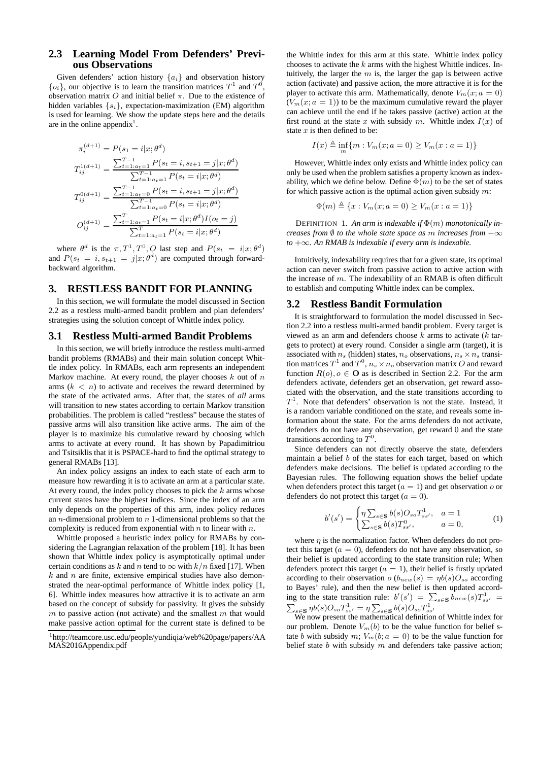## **2.3 Learning Model From Defenders' Previous Observations**

Given defenders' action history  ${a_i}$  and observation history  $\{o_i\}$ , our objective is to learn the transition matrices  $T^1$  and  $T^0$ , observation matrix O and initial belief  $\pi$ . Due to the existence of hidden variables  $\{s_i\}$ , expectation-maximization (EM) algorithm is used for learning. We show the update steps here and the details are in the online appendix<sup>1</sup>.

$$
\pi_i^{(d+1)} = P(s_1 = i|x; \theta^d)
$$
\n
$$
T_{ij}^{1(d+1)} = \frac{\sum_{t=1:a_t=1}^{T-1} P(s_t = i, s_{t+1} = j|x; \theta^d)}{\sum_{t=1:a_t=1}^{T-1} P(s_t = i|x; \theta^d)}
$$
\n
$$
T_{ij}^{0(d+1)} = \frac{\sum_{t=1:a_t=0}^{T-1} P(s_t = i, s_{t+1} = j|x; \theta^d)}{\sum_{t=1:a_t=0}^{T-1} P(s_t = i|x; \theta^d) I(o_t = j)}
$$
\n
$$
O_{ij}^{(d+1)} = \frac{\sum_{t=1:a_t=1}^{T} P(s_t = i|x; \theta^d) I(o_t = j)}{\sum_{t=1:a_t=1}^{T} P(s_t = i|x; \theta^d)}
$$

where  $\theta^d$  is the  $\pi, T^1, T^0, O$  last step and  $P(s_t = i|x; \theta^d)$ and  $P(s_t = i, s_{t+1} = j | x; \theta^d)$  are computed through forwardbackward algorithm.

## **3. RESTLESS BANDIT FOR PLANNING**

In this section, we will formulate the model discussed in Section 2.2 as a restless multi-armed bandit problem and plan defenders' strategies using the solution concept of Whittle index policy.

#### **3.1 Restless Multi-armed Bandit Problems**

In this section, we will briefly introduce the restless multi-armed bandit problems (RMABs) and their main solution concept Whittle index policy. In RMABs, each arm represents an independent Markov machine. At every round, the player chooses  $k$  out of  $n$ arms  $(k < n)$  to activate and receives the reward determined by the state of the activated arms. After that, the states of *all* arms will transition to new states according to certain Markov transition probabilities. The problem is called "restless" because the states of passive arms will also transition like active arms. The aim of the player is to maximize his cumulative reward by choosing which arms to activate at every round. It has shown by Papadimitriou and Tsitsiklis that it is PSPACE-hard to find the optimal strategy to general RMABs [13].

An index policy assigns an index to each state of each arm to measure how rewarding it is to activate an arm at a particular state. At every round, the index policy chooses to pick the  $k$  arms whose current states have the highest indices. Since the index of an arm only depends on the properties of this arm, index policy reduces an  $n$ -dimensional problem to  $n$  1-dimensional problems so that the complexity is reduced from exponential with  $n$  to linear with  $n$ .

Whittle proposed a heuristic index policy for RMABs by considering the Lagrangian relaxation of the problem [18]. It has been shown that Whittle index policy is asymptotically optimal under certain conditions as k and n tend to  $\infty$  with  $k/n$  fixed [17]. When  $k$  and  $n$  are finite, extensive empirical studies have also demonstrated the near-optimal performance of Whittle index policy [1, 6]. Whittle index measures how attractive it is to activate an arm based on the concept of subsidy for passivity. It gives the subsidy  $m$  to passive action (not activate) and the smallest  $m$  that would make passive action optimal for the current state is defined to be

the Whittle index for this arm at this state. Whittle index policy chooses to activate the  $k$  arms with the highest Whittle indices. Intuitively, the larger the  $m$  is, the larger the gap is between active action (activate) and passive action, the more attractive it is for the player to activate this arm. Mathematically, denote  $V_m(x; a = 0)$  $(V_m(x; a = 1))$  to be the maximum cumulative reward the player can achieve until the end if he takes passive (active) action at the first round at the state x with subsidy m. Whittle index  $I(x)$  of state  $x$  is then defined to be:

$$
I(x) \triangleq \inf_{m} \{ m : V_m(x; a = 0) \ge V_m(x : a = 1) \}
$$

However, Whittle index only exists and Whittle index policy can only be used when the problem satisfies a property known as indexability, which we define below. Define  $\Phi(m)$  to be the set of states for which passive action is the optimal action given subsidy  $m$ :

$$
\Phi(m) \triangleq \{x : V_m(x; a = 0) \ge V_m(x : a = 1)\}
$$

DEFINITION 1. An arm is indexable if  $\Phi(m)$  monotonically in*creases from* ∅ *to the whole state space as* m *increases from* −∞ *to* +∞*. An RMAB is indexable if every arm is indexable.*

Intuitively, indexability requires that for a given state, its optimal action can never switch from passive action to active action with the increase of  $m$ . The indexability of an RMAB is often difficult to establish and computing Whittle index can be complex.

#### **3.2 Restless Bandit Formulation**

It is straightforward to formulation the model discussed in Section 2.2 into a restless multi-armed bandit problem. Every target is viewed as an arm and defenders choose  $k$  arms to activate ( $k$  targets to protect) at every round. Consider a single arm (target), it is associated with  $n_s$  (hidden) states,  $n_o$  observations,  $n_s \times n_s$  transition matrices  $T^1$  and  $T^0$ ,  $n_s \times n_o$  observation matrix O and reward function  $R(o), o \in \mathbf{O}$  as is described in Section 2.2. For the arm defenders activate, defenders get an observation, get reward associated with the observation, and the state transitions according to  $T<sup>1</sup>$ . Note that defenders' observation is not the state. Instead, it is a random variable conditioned on the state, and reveals some information about the state. For the arms defenders do not activate, defenders do not have any observation, get reward 0 and the state transitions according to  $T^0$ .

Since defenders can not directly observe the state, defenders maintain a belief  $b$  of the states for each target, based on which defenders make decisions. The belief is updated according to the Bayesian rules. The following equation shows the belief update when defenders protect this target  $(a = 1)$  and get observation o or defenders do not protect this target  $(a = 0)$ .

$$
b'(s') = \begin{cases} \eta \sum_{s \in \mathbf{S}} b(s) O_{so} T_{ss'}^1, & a = 1\\ \sum_{s \in \mathbf{S}} b(s) T_{ss'}^0, & a = 0, \end{cases}
$$
 (1)

where  $\eta$  is the normalization factor. When defenders do not protect this target ( $a = 0$ ), defenders do not have any observation, so their belief is updated according to the state transition rule; When defenders protect this target ( $a = 1$ ), their belief is firstly updated according to their observation  $o(b_{new}(s) = \eta b(s)O_{so}$  according to Bayes' rule), and then the new belief is then updated according to the state transition rule:  $b'(s') = \sum_{s \in S} b_{new}(s) T_{ss'}^1$  $\sum_{s \in \mathbf{S}} \eta b(s) O_{s} \sigma T_{ss'}^1 = \eta \sum_{s \in \mathbf{S}} b(s) O_{s} \sigma T_{ss'}^1$ <br>We now present the mathematical definition of Whittle index for

our problem. Denote  $V_m(b)$  to be the value function for belief state b with subsidy m;  $V_m(b; a = 0)$  to be the value function for belief state  $b$  with subsidy  $m$  and defenders take passive action;

<sup>1</sup> http://teamcore.usc.edu/people/yundiqia/web%20page/papers/AA MAS2016Appendix.pdf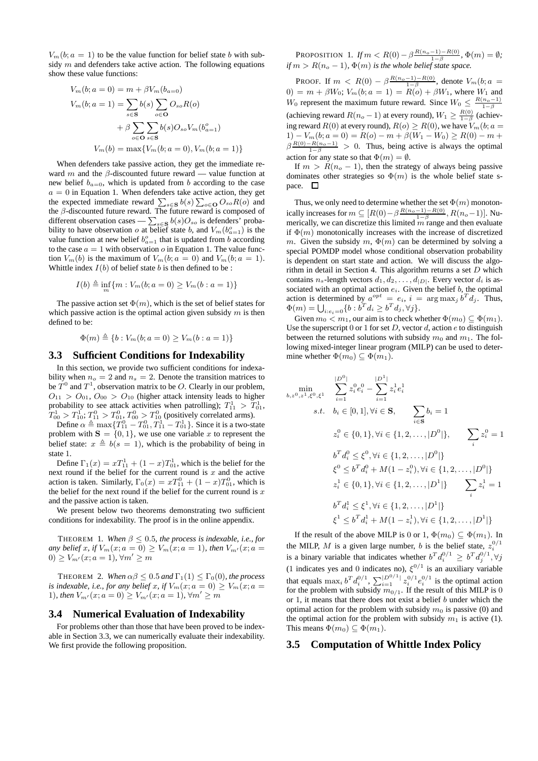$V_m(b; a = 1)$  to be the value function for belief state b with subsidy  $m$  and defenders take active action. The following equations show these value functions:

$$
V_m(b; a = 0) = m + \beta V_m(b_{a=0})
$$
  
\n
$$
V_m(b; a = 1) = \sum_{s \in \mathbf{S}} b(s) \sum_{o \in \mathbf{O}} O_{so} R(o)
$$
  
\n
$$
+ \beta \sum_{o \in \mathbf{O}} \sum_{s \in \mathbf{S}} b(s) O_{so} V_m(b_{a=1}^o)
$$
  
\n
$$
V_m(b) = \max \{ V_m(b; a = 0), V_m(b; a = 1) \}
$$

When defenders take passive action, they get the immediate reward m and the  $\beta$ -discounted future reward — value function at new belief  $b_{a=0}$ , which is updated from b according to the case  $a = 0$  in Equation 1. When defenders take active action, they get the expected immediate reward  $\sum_{s \in \mathbf{S}} b(s) \sum_{o \in \mathbf{O}} O_{so} R(o)$  and the  $\beta$ -discounted future reward. The future reward is composed of different observation cases —  $\sum_{s \in \mathbf{S}} b(s) O_{so}$  is defenders' probability to have observation o at belief state b, and  $V_m(b_{a=1}^{\circ})$  is the value function at new belief  $b_{a=1}^{\circ}$  that is updated from b according to the case  $a = 1$  with observation  $o$  in Equation 1. The value function  $V_m(b)$  is the maximum of  $V_m(b; a = 0)$  and  $V_m(b; a = 1)$ . Whittle index  $I(b)$  of belief state b is then defined to be:

$$
I(b) \triangleq \inf_{m} \{ m : V_m(b; a = 0) \ge V_m(b : a = 1) \}
$$

The passive action set  $\Phi(m)$ , which is the set of belief states for which passive action is the optimal action given subsidy  $m$  is then defined to be:

$$
\Phi(m) \triangleq \{b : V_m(b; a = 0) \geq V_m(b: a = 1)\}
$$

#### **3.3 Sufficient Conditions for Indexability**

In this section, we provide two sufficient conditions for indexability when  $n_o = 2$  and  $n_s = 2$ . Denote the transition matrices to be  $T^0$  and  $T^1$ , observation matrix to be O. Clearly in our problem,  $O_{11} > O_{01}$ ,  $O_{00} > O_{10}$  (higher attack intensity leads to higher probability to see attack activities when patrolling);  $T_{11}^1 > T_{01}^1$ ,  $T_{00}^1 > T_{10}^1; T_{11}^0 > T_{01}^0, T_{00}^0 > T_{10}^0$  (positively correlated arms).

Define  $\alpha \triangleq \max\{T_{11}^0 - T_{01}^0, T_{11}^1 - T_{01}^1\}$ . Since it is a two-state problem with  $S = \{0, 1\}$ , we use one variable x to represent the belief state:  $x \triangleq b(s = 1)$ , which is the probability of being in state 1.

Define  $\Gamma_1(x) = xT_{11}^1 + (1-x)T_{01}^1$ , which is the belief for the next round if the belief for the current round is  $x$  and the active action is taken. Similarly,  $\Gamma_0(x) = xT_{11}^0 + (1 - x)T_{01}^0$ , which is the belief for the next round if the belief for the current round is  $x$ and the passive action is taken.

We present below two theorems demonstrating two sufficient conditions for indexability. The proof is in the online appendix.

THEOREM 1. *When*  $\beta \leq 0.5$ *, the process is indexable, i.e., for any belief* x, if  $V_m(x; a = 0) \ge V_m(x; a = 1)$ , then  $V_{m'}(x; a = 1)$  $0 \geq V_{m'}(x; a = 1), \forall m' \geq m$ 

THEOREM 2. *When*  $\alpha\beta \leq 0.5$  *and*  $\Gamma_1(1) \leq \Gamma_0(0)$ *, the process is indexable, i.e., for any belief x, if*  $V_m(x; a = 0) \geq V_m(x; a = 0)$ 1)*, then*  $V_{m'}(x; a = 0) \ge V_{m'}(x; a = 1)$ *,*  $\forall m' \ge m$ 

#### **3.4 Numerical Evaluation of Indexability**

For problems other than those that have been proved to be indexable in Section 3.3, we can numerically evaluate their indexability. We first provide the following proposition.

PROPOSITION 1. *If*  $m < R(0) - \beta \frac{R(n_o - 1) - R(0)}{1 - \beta}$ ,  $\Phi(m) = \emptyset$ ; *if*  $m > R(n_o - 1)$ ,  $\Phi(m)$  *is the whole belief state space.* 

PROOF. If  $m \, < R(0) - \beta \frac{R(n_0-1)-R(0)}{1-\beta}$ , denote  $V_m(b;a=$  $0) = m + \beta W_0$ ;  $V_m(b; a = 1) = R(o) + \beta W_1$ , where  $W_1$  and W<sub>0</sub> represent the maximum future reward. Since  $W_0 \leq \frac{R(n_0-1)}{1-\beta}$ (achieving reward  $R(n_o - 1)$  at every round),  $W_1 \ge \frac{R(0)}{1 - \beta}$  (achieving reward  $R(0)$  at every round),  $R(o) \ge R(0)$ , we have  $V_m(b; a =$  $1) - V_m(b; a = 0) = R(o) - m + \beta(W_1 - W_0) \ge R(0) - m +$  $\beta \frac{R(0)-R(n_0-1)}{1-\beta} > 0$ . Thus, being active is always the optimal action for any state so that  $\Phi(m) = \emptyset$ .

If  $m > R(n_0 - 1)$ , then the strategy of always being passive dominates other strategies so  $\Phi(m)$  is the whole belief state space.  $\square$ 

Thus, we only need to determine whether the set  $\Phi(m)$  monotonically increases for  $m \subseteq [R(0)-\beta \frac{R(n_o-1)-R(0)}{1-\beta}, R(n_o-1)].$  Numerically, we can discretize this limited  $m$  range and then evaluate if  $\Phi(m)$  monotonically increases with the increase of discretized m. Given the subsidy m,  $\Phi(m)$  can be determined by solving a special POMDP model whose conditional observation probability is dependent on start state and action. We will discuss the algorithm in detail in Section 4. This algorithm returns a set  $D$  which contains  $n_s$ -length vectors  $d_1, d_2, \ldots, d_{|D|}$ . Every vector  $d_i$  is associated with an optimal action  $e_i$ . Given the belief  $b$ , the optimal action is determined by  $a^{opt} = e_i$ ,  $i = \arg \max_j b^T d_j$ . Thus,  $\Phi(m) = \bigcup_{i:e_i=0} \{b : b^T d_i \ge b^T d_j, \forall j\}.$ 

Given  $m_0 < m_1$ , our aim is to check whether  $\Phi(m_0) \subseteq \Phi(m_1)$ . Use the superscript  $0$  or  $1$  for set  $D$ , vector  $d$ , action  $e$  to distinguish between the returned solutions with subsidy  $m_0$  and  $m_1$ . The following mixed-integer linear program (MILP) can be used to determine whether  $\Phi(m_0) \subseteq \Phi(m_1)$ .

$$
\min_{b,z^{0},z^{1},\xi^{0},\xi^{1}} \quad \sum_{i=1}^{|D^{0}|} z_{i}^{0} e_{i}^{0} - \sum_{i=1}^{|D^{1}|} z_{i}^{1} e_{i}^{1}
$$
\n
$$
s.t. \quad b_{i} \in [0,1], \forall i \in \mathbf{S}, \qquad \sum_{i \in \mathbf{S}} b_{i} = 1
$$
\n
$$
z_{i}^{0} \in \{0,1\}, \forall i \in \{1,2,\ldots, |D^{0}|\}, \qquad \sum_{i} z_{i}^{0} = 1
$$
\n
$$
b^{T} d_{i}^{0} \leq \xi^{0}, \forall i \in \{1,2,\ldots, |D^{0}|\}
$$
\n
$$
\xi^{0} \leq b^{T} d_{i}^{0} + M(1 - z_{i}^{0}), \forall i \in \{1,2,\ldots, |D^{0}|\}
$$
\n
$$
z_{i}^{1} \in \{0,1\}, \forall i \in \{1,2,\ldots, |D^{1}|\} \qquad \sum_{i} z_{i}^{1} = 1
$$
\n
$$
b^{T} d_{i}^{1} \leq \xi^{1}, \forall i \in \{1,2,\ldots, |D^{1}|\}
$$
\n
$$
\xi^{1} \leq b^{T} d_{i}^{1} + M(1 - z_{i}^{1}), \forall i \in \{1,2,\ldots, |D^{1}|\}
$$

If the result of the above MILP is 0 or 1,  $\Phi(m_0) \subseteq \Phi(m_1)$ . In the MILP, M is a given large number, b is the belief state,  $z_i^{0/1}$  is a binary variable that indicates whether  $b^T d_i^{0/1} \geq b^T d_j^{0/1}, \forall j$ (1 indicates yes and 0 indicates no),  $\xi^{0/1}$  is an auxiliary variable that equals  $\max_i b^T d_i^{0/1}, \sum_{i=1}^{\lfloor D^{0/1} \rfloor} z_i^{0/1} e_i^{0/1}$  is the optimal action for the problem with subsidy  $m_{0/1}$ . If the result of this MILP is 0 or  $1$ , it means that there does not exist a belief  $b$  under which the optimal action for the problem with subsidy  $m_0$  is passive (0) and the optimal action for the problem with subsidy  $m_1$  is active (1). This means  $\Phi(m_0) \subseteq \Phi(m_1)$ .

## **3.5 Computation of Whittle Index Policy**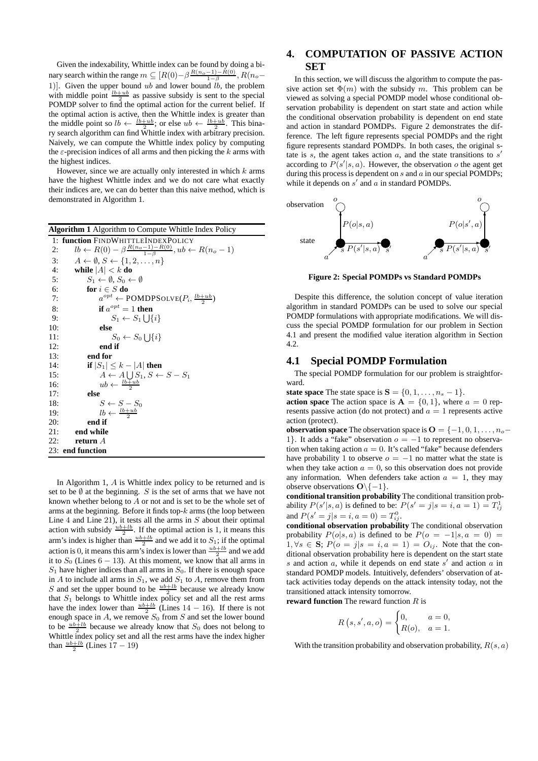Given the indexability, Whittle index can be found by doing a binary search within the range  $m \subseteq [R(0)-\beta \frac{R(n_{o}-1)-R(0)}{1-\beta}, R(n_{o}-1)$ 1). Given the upper bound ub and lower bound  $\ddot{lb}$ , the problem with middle point  $\frac{lb+ub}{2}$  as passive subsidy is sent to the special POMDP solver to find the optimal action for the current belief. If the optimal action is active, then the Whittle index is greater than the middle point so  $lb \leftarrow \frac{lb+ub}{2}$ ; or else  $ub \leftarrow \frac{lb+ub}{2}$ . This binary search algorithm can find Whittle index with arbitrary precision. Naively, we can compute the Whittle index policy by computing the  $\varepsilon$ -precision indices of all arms and then picking the k arms with the highest indices.

However, since we are actually only interested in which  $k$  arms have the highest Whittle index and we do not care what exactly their indices are, we can do better than this naive method, which is demonstrated in Algorithm 1.

| <b>Algorithm 1 Algorithm to Compute Whittle Index Policy</b>                               |  |  |  |  |
|--------------------------------------------------------------------------------------------|--|--|--|--|
| 1: function FINDWHITTLEINDEXPOLICY                                                         |  |  |  |  |
| $lb \leftarrow R(0) - \beta \frac{R(n_o - 1) - R(0)}{1 - \beta}, ub \leftarrow R(n_o - 1)$ |  |  |  |  |
| $A \leftarrow \emptyset, S \leftarrow \{1, 2, \ldots, n\}$                                 |  |  |  |  |
| while $ A  < k$ do<br>4:                                                                   |  |  |  |  |
| $S_1 \leftarrow \emptyset$ , $S_0 \leftarrow \emptyset$<br>5:                              |  |  |  |  |
| for $i \in S$ do<br>6:                                                                     |  |  |  |  |
| $a^{opt} \leftarrow \text{POMDPSOLVE}(P_i, \frac{lb+ub}{2})$<br>7:                         |  |  |  |  |
| if $a^{opt} = 1$ then<br>8:                                                                |  |  |  |  |
| $S_1 \leftarrow S_1 \cup \{i\}$<br>9:                                                      |  |  |  |  |
| 10:<br>else                                                                                |  |  |  |  |
| $S_0 \leftarrow S_0 \cup \{i\}$<br>11:                                                     |  |  |  |  |
| end if<br>12:                                                                              |  |  |  |  |
| end for<br>13:                                                                             |  |  |  |  |
| if $ S_1  \leq k -  A $ then<br>14:                                                        |  |  |  |  |
| $A \leftarrow A \bigcup S_1, S \leftarrow S - S_1$<br>15:                                  |  |  |  |  |
| $ub \leftarrow \frac{lb+ub}{2}$<br>16:                                                     |  |  |  |  |
| 17:<br>else                                                                                |  |  |  |  |
| 18:<br>$S \leftarrow S - S_0$                                                              |  |  |  |  |
| $lb \leftarrow \frac{lb+ub}{2}$<br>19:                                                     |  |  |  |  |
| 20:<br>end if                                                                              |  |  |  |  |
| 21:<br>end while                                                                           |  |  |  |  |
| 22:<br>return $A$                                                                          |  |  |  |  |
| 23: end function                                                                           |  |  |  |  |

In Algorithm 1, A is Whittle index policy to be returned and is set to be  $\emptyset$  at the beginning. S is the set of arms that we have not known whether belong to A or not and is set to be the whole set of arms at the beginning. Before it finds top- $k$  arms (the loop between Line 4 and Line 21), it tests all the arms in  $S$  about their optimal action with subsidy  $\frac{ub+lb}{2}$ . If the optimal action is 1, it means this arm's index is higher than  $\frac{ub+lb}{2}$  and we add it to  $S_1$ ; if the optimal action is 0, it means this arm's index is lower than  $\frac{ub+lb}{2}$  and we add it to  $S_0$  (Lines 6 – 13). At this moment, we know that all arms in  $S_1$  have higher indices than all arms in  $S_0$ . If there is enough space in A to include all arms in  $S_1$ , we add  $S_1$  to A, remove them from S and set the upper bound to be  $\frac{ub+lb}{2}$  because we already know that  $S_1$  belongs to Whittle index policy set and all the rest arms have the index lower than  $\frac{ub+lb}{2}$  (Lines 14 – 16). If there is not enough space in  $A$ , we remove  $S_0$  from  $S$  and set the lower bound to be  $\frac{ub+lb}{2}$  because we already know that  $S_0$  does not belong to Whittle index policy set and all the rest arms have the index higher than  $\frac{ub+lb}{2}$  (Lines 17 – 19)

# **4. COMPUTATION OF PASSIVE ACTION SET**

In this section, we will discuss the algorithm to compute the passive action set  $\Phi(m)$  with the subsidy m. This problem can be viewed as solving a special POMDP model whose conditional observation probability is dependent on start state and action while the conditional observation probability is dependent on end state and action in standard POMDPs. Figure 2 demonstrates the difference. The left figure represents special POMDPs and the right figure represents standard POMDPs. In both cases, the original state is  $s$ , the agent takes action  $a$ , and the state transitions to  $s'$ according to  $P(s'|s, a)$ . However, the observation o the agent get during this process is dependent on  $s$  and  $a$  in our special POMDPs; while it depends on  $s'$  and  $a$  in standard POMDPs.



**Figure 2: Special POMDPs vs Standard POMDPs**

Despite this difference, the solution concept of value iteration algorithm in standard POMDPs can be used to solve our special POMDP formulations with appropriate modifications. We will discuss the special POMDP formulation for our problem in Section 4.1 and present the modified value iteration algorithm in Section 4.2.

## **4.1 Special POMDP Formulation**

The special POMDP formulation for our problem is straightforward.

**state space** The state space is  $S = \{0, 1, \ldots, n_s - 1\}.$ 

**action space** The action space is  $A = \{0, 1\}$ , where  $a = 0$  represents passive action (do not protect) and  $a = 1$  represents active action (protect).

**observation space** The observation space is  $\mathbf{O} = \{-1, 0, 1, \ldots, n_o -$ 1}. It adds a "fake" observation  $o = -1$  to represent no observation when taking action  $a = 0$ . It's called "fake" because defenders have probability 1 to observe  $o = -1$  no matter what the state is when they take action  $a = 0$ , so this observation does not provide any information. When defenders take action  $a = 1$ , they may observe observations  $O\{(-1\}.$ 

**conditional transition probability** The conditional transition probability  $P(s'|s, a)$  is defined to be:  $P(s' = j|s = i, a = 1) = T_{ij}^1$ and  $P(s' = j | s = i, a = 0) = T_{ij}^0$ .

**conditional observation probability** The conditional observation probability  $P(o|s, a)$  is defined to be  $P(o = -1|s, a = 0)$  $1, \forall s \in \mathbf{S}; P(o = j | s = i, a = 1) = O_{ij}$ . Note that the conditional observation probability here is dependent on the start state s and action  $a$ , while it depends on end state  $s'$  and action  $a$  in standard POMDP models. Intuitively, defenders' observation of attack activities today depends on the attack intensity today, not the transitioned attack intensity tomorrow.

**reward function** The reward function R is

$$
R(s, s', a, o) = \begin{cases} 0, & a = 0, \\ R(o), & a = 1. \end{cases}
$$

With the transition probability and observation probability,  $R(s, a)$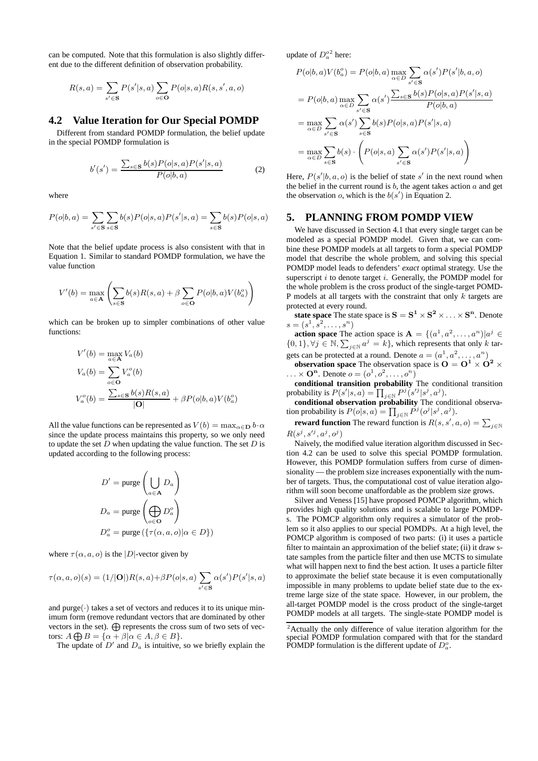can be computed. Note that this formulation is also slightly different due to the different definition of observation probability.

$$
R(s,a) = \sum_{s' \in \mathbf{S}} P(s'|s,a) \sum_{o \in \mathbf{O}} P(o|s,a) R(s,s',a,o)
$$

#### **4.2 Value Iteration for Our Special POMDP**

Different from standard POMDP formulation, the belief update in the special POMDP formulation is

$$
b'(s') = \frac{\sum_{s \in \mathbf{S}} b(s) P(o|s, a) P(s'|s, a)}{P(o|b, a)} \tag{2}
$$

where

$$
P(o|b, a) = \sum_{s' \in \mathbf{S}} \sum_{s \in \mathbf{S}} b(s) P(o|s, a) P(s'|s, a) = \sum_{s \in \mathbf{S}} b(s) P(o|s, a)
$$

Note that the belief update process is also consistent with that in Equation 1. Similar to standard POMDP formulation, we have the value function

$$
V'(b) = \max_{a \in \mathbf{A}} \left( \sum_{s \in \mathbf{S}} b(s)R(s, a) + \beta \sum_{o \in \mathbf{O}} P(o|b, a)V(b_a^o) \right)
$$

which can be broken up to simpler combinations of other value functions:

$$
V'(b) = \max_{a \in \mathbf{A}} V_a(b)
$$
  
\n
$$
V_a(b) = \sum_{o \in \mathbf{O}} V_a^o(b)
$$
  
\n
$$
V_a^o(b) = \frac{\sum_{s \in \mathbf{S}} b(s)R(s, a)}{|\mathbf{O}|} + \beta P(o|b, a)V(b_a^o)
$$

All the value functions can be represented as  $V(b) = \max_{\alpha \in \mathbf{D}} b \cdot \alpha$ since the update process maintains this property, so we only need to update the set  $D$  when updating the value function. The set  $D$  is updated according to the following process:

$$
D' = \text{pure} \left( \bigcup_{a \in \mathbf{A}} D_a \right)
$$
  

$$
D_a = \text{pure} \left( \bigoplus_{o \in \mathbf{O}} D_a^o \right)
$$
  

$$
D_a^o = \text{pure} \left( \{ \tau(\alpha, a, o) | \alpha \in D \} \right)
$$

where  $\tau(\alpha, a, o)$  is the |D|-vector given by

$$
\tau(\alpha, a, o)(s) = (1/|\mathbf{O}|)R(s, a) + \beta P(o|s, a) \sum_{s' \in \mathbf{S}} \alpha(s')P(s'|s, a)
$$

and purge $(\cdot)$  takes a set of vectors and reduces it to its unique minimum form (remove redundant vectors that are dominated by other vectors in the set).  $\bigoplus$  represents the cross sum of two sets of vectors:  $A \bigoplus B = {\alpha + \beta | \alpha \in A, \beta \in B}.$ 

The update of  $D'$  and  $D_a$  is intuitive, so we briefly explain the

update of  $D_a^{\circ 2}$  here:

$$
P(o|b, a)V(b_a^o) = P(o|b, a) \max_{\alpha \in D} \sum_{s' \in \mathbf{S}} \alpha(s')P(s'|b, a, o)
$$
  
=  $P(o|b, a) \max_{\alpha \in D} \sum_{s' \in \mathbf{S}} \alpha(s')\frac{\sum_{s \in \mathbf{S}} b(s)P(o|s, a)P(s'|s, a)}{P(o|b, a)}$   
=  $\max_{\alpha \in D} \sum_{s' \in \mathbf{S}} \alpha(s')\sum_{s \in \mathbf{S}} b(s)P(o|s, a)P(s'|s, a)$   
=  $\max_{\alpha \in D} \sum_{s \in \mathbf{S}} b(s) \cdot \left(P(o|s, a) \sum_{s' \in \mathbf{S}} \alpha(s')P(s'|s, a)\right)$ 

Here,  $P(s'|b, a, o)$  is the belief of state s' in the next round when the belief in the current round is  $b$ , the agent takes action  $a$  and get the observation  $o$ , which is the  $b(s')$  in Equation 2.

#### **5. PLANNING FROM POMDP VIEW**

We have discussed in Section 4.1 that every single target can be modeled as a special POMDP model. Given that, we can combine these POMDP models at all targets to form a special POMDP model that describe the whole problem, and solving this special POMDP model leads to defenders' *exact* optimal strategy. Use the superscript  $i$  to denote target  $i$ . Generally, the POMDP model for the whole problem is the cross product of the single-target POMD-P models at all targets with the constraint that only  $k$  targets are protected at every round.

**state space** The state space is  $S = S^1 \times S^2 \times \ldots \times S^n$ . Denote  $s = (s^1, s^2, \dots, s^n)$ 

**action space** The action space is  $A = \{(a^1, a^2, \dots, a^n)|a^j \in$  $\{0,1\}, \forall j \in \mathbb{N}, \sum_{j \in \mathbb{N}} a^j = k\},$  which represents that only k targets can be protected at a round. Denote  $a = (a^1, a^2, \dots, a^n)$ 

**observation space** The observation space is  $O = O^1 \times O^2 \times$  $\ldots \times \mathbf{O}^n$ . Denote  $o = (o^1, o^2, \ldots, o^n)$ 

**conditional transition probability** The conditional transition probability is  $P(s'|s, a) = \prod_{j \in \mathbb{N}} P^j(s'^j | s^j, a^j)$ .

**conditional observation probability** The conditional observation probability is  $P(o|s, a) = \prod_{j \in \mathbb{N}} P^j(o^j|s^j, a^j)$ .

**reward function** The reward function is  $R(s, s', a, o) = \sum_{j \in \mathbb{N}}$  $R(s^j, s'^j, a^j, o^j)$ 

Naively, the modified value iteration algorithm discussed in Section 4.2 can be used to solve this special POMDP formulation. However, this POMDP formulation suffers from curse of dimensionality — the problem size increases exponentially with the number of targets. Thus, the computational cost of value iteration algorithm will soon become unaffordable as the problem size grows.

Silver and Veness [15] have proposed POMCP algorithm, which provides high quality solutions and is scalable to large POMDPs. The POMCP algorithm only requires a simulator of the problem so it also applies to our special POMDPs. At a high level, the POMCP algorithm is composed of two parts: (i) it uses a particle filter to maintain an approximation of the belief state; (ii) it draw state samples from the particle filter and then use MCTS to simulate what will happen next to find the best action. It uses a particle filter to approximate the belief state because it is even computationally impossible in many problems to update belief state due to the extreme large size of the state space. However, in our problem, the all-target POMDP model is the cross product of the single-target POMDP models at all targets. The single-state POMDP model is

 $2$ Actually the only difference of value iteration algorithm for the special POMDP formulation compared with that for the standard POMDP formulation is the different update of  $D_a^o$ .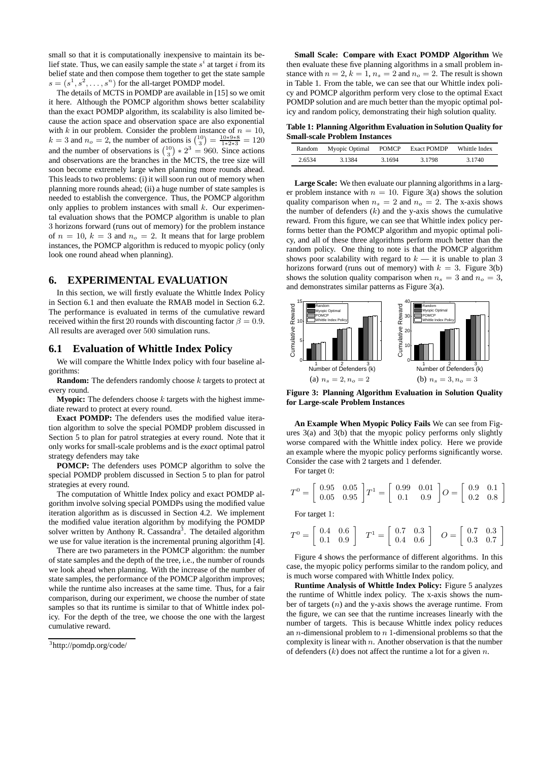small so that it is computationally inexpensive to maintain its belief state. Thus, we can easily sample the state  $s^i$  at target i from its belief state and then compose them together to get the state sample  $s = (s^1, s^2, \dots, s^n)$  for the all-target POMDP model.

The details of MCTS in POMDP are available in [15] so we omit it here. Although the POMCP algorithm shows better scalability than the exact POMDP algorithm, its scalability is also limited because the action space and observation space are also exponential with k in our problem. Consider the problem instance of  $n = 10$ ,  $k = 3$  and  $n_o = 2$ , the number of actions is  $\binom{10}{3} = \frac{10*9*8}{1*2*3} = 120$ and the number of observations is  $\binom{10}{3}$   $*$   $2^3$  = 960. Since actions and observations are the branches in the MCTS, the tree size will soon become extremely large when planning more rounds ahead. This leads to two problems: (i) it will soon run out of memory when planning more rounds ahead; (ii) a huge number of state samples is needed to establish the convergence. Thus, the POMCP algorithm only applies to problem instances with small  $k$ . Our experimental evaluation shows that the POMCP algorithm is unable to plan 3 horizons forward (runs out of memory) for the problem instance of  $n = 10$ ,  $k = 3$  and  $n<sub>o</sub> = 2$ . It means that for large problem instances, the POMCP algorithm is reduced to myopic policy (only look one round ahead when planning).

#### **6. EXPERIMENTAL EVALUATION**

In this section, we will firstly evaluate the Whittle Index Policy in Section 6.1 and then evaluate the RMAB model in Section 6.2. The performance is evaluated in terms of the cumulative reward received within the first 20 rounds with discounting factor  $\beta = 0.9$ . All results are averaged over 500 simulation runs.

#### **6.1 Evaluation of Whittle Index Policy**

We will compare the Whittle Index policy with four baseline algorithms:

**Random:** The defenders randomly choose  $k$  targets to protect at every round.

**Myopic:** The defenders choose  $k$  targets with the highest immediate reward to protect at every round.

**Exact POMDP:** The defenders uses the modified value iteration algorithm to solve the special POMDP problem discussed in Section 5 to plan for patrol strategies at every round. Note that it only works for small-scale problems and is the *exact* optimal patrol strategy defenders may take

**POMCP:** The defenders uses POMCP algorithm to solve the special POMDP problem discussed in Section 5 to plan for patrol strategies at every round.

The computation of Whittle Index policy and exact POMDP algorithm involve solving special POMDPs using the modified value iteration algorithm as is discussed in Section 4.2. We implement the modified value iteration algorithm by modifying the POMDP solver written by Anthony R. Cassandra<sup>3</sup>. The detailed algorithm we use for value iteration is the incremental pruning algorithm [4].

There are two parameters in the POMCP algorithm: the number of state samples and the depth of the tree, i.e., the number of rounds we look ahead when planning. With the increase of the number of state samples, the performance of the POMCP algorithm improves; while the runtime also increases at the same time. Thus, for a fair comparison, during our experiment, we choose the number of state samples so that its runtime is similar to that of Whittle index policy. For the depth of the tree, we choose the one with the largest cumulative reward.

**Small Scale: Compare with Exact POMDP Algorithm** We then evaluate these five planning algorithms in a small problem instance with  $n = 2$ ,  $k = 1$ ,  $n_s = 2$  and  $n_o = 2$ . The result is shown in Table 1. From the table, we can see that our Whittle index policy and POMCP algorithm perform very close to the optimal Exact POMDP solution and are much better than the myopic optimal policy and random policy, demonstrating their high solution quality.

**Table 1: Planning Algorithm Evaluation in Solution Quality for Small-scale Problem Instances**

| Random | Myopic Optimal | <b>POMCP</b> | Exact POMDP | Whittle Index |
|--------|----------------|--------------|-------------|---------------|
| 2.6534 | 3.1384         | 3 1 6 9 4    | 3.1798      | 3.1740        |

**Large Scale:** We then evaluate our planning algorithms in a larger problem instance with  $n = 10$ . Figure 3(a) shows the solution quality comparison when  $n_s = 2$  and  $n_o = 2$ . The x-axis shows the number of defenders  $(k)$  and the y-axis shows the cumulative reward. From this figure, we can see that Whittle index policy performs better than the POMCP algorithm and myopic optimal policy, and all of these three algorithms perform much better than the random policy. One thing to note is that the POMCP algorithm shows poor scalability with regard to  $k - i$ t is unable to plan 3 horizons forward (runs out of memory) with  $k = 3$ . Figure 3(b) shows the solution quality comparison when  $n_s = 3$  and  $n_o = 3$ , and demonstrates similar patterns as Figure 3(a).



**Figure 3: Planning Algorithm Evaluation in Solution Quality for Large-scale Problem Instances**

**An Example When Myopic Policy Fails** We can see from Figures 3(a) and 3(b) that the myopic policy performs only slightly worse compared with the Whittle index policy. Here we provide an example where the myopic policy performs significantly worse. Consider the case with 2 targets and 1 defender.

For target 0:

$$
T^0 = \left[ \begin{array}{ccc} 0.95 & 0.05 \\ 0.05 & 0.95 \end{array} \right] T^1 = \left[ \begin{array}{ccc} 0.99 & 0.01 \\ 0.1 & 0.9 \end{array} \right] O = \left[ \begin{array}{ccc} 0.9 & 0.1 \\ 0.2 & 0.8 \end{array} \right]
$$

For target 1:

$$
T^{0} = \begin{bmatrix} 0.4 & 0.6 \\ 0.1 & 0.9 \end{bmatrix} \quad T^{1} = \begin{bmatrix} 0.7 & 0.3 \\ 0.4 & 0.6 \end{bmatrix} \quad O = \begin{bmatrix} 0.7 & 0.3 \\ 0.3 & 0.7 \end{bmatrix}
$$

Figure 4 shows the performance of different algorithms. In this case, the myopic policy performs similar to the random policy, and is much worse compared with Whittle Index policy.

**Runtime Analysis of Whittle Index Policy:** Figure 5 analyzes the runtime of Whittle index policy. The x-axis shows the number of targets  $(n)$  and the y-axis shows the average runtime. From the figure, we can see that the runtime increases linearly with the number of targets. This is because Whittle index policy reduces an *n*-dimensional problem to  $n$  1-dimensional problems so that the complexity is linear with  $n$ . Another observation is that the number of defenders  $(k)$  does not affect the runtime a lot for a given n.

<sup>3</sup> http://pomdp.org/code/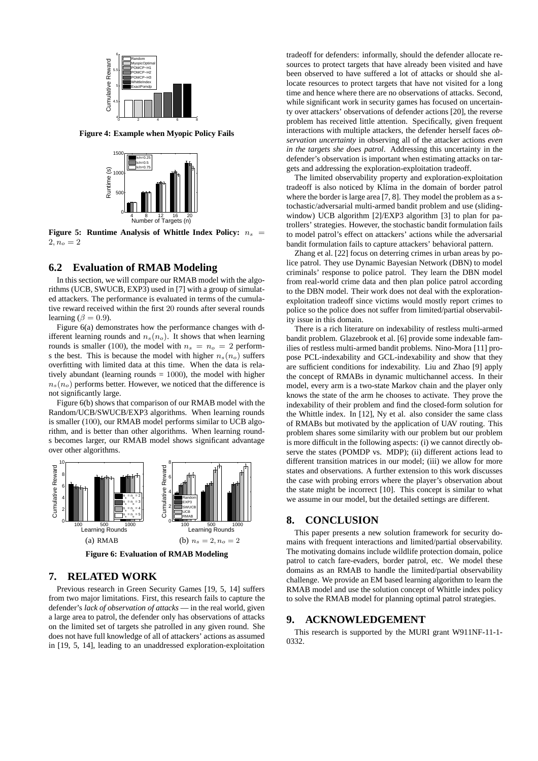

**Figure 4: Example when Myopic Policy Fails**



**Figure 5: Runtime Analysis of Whittle Index Policy:**  $n_s$  =  $2, n_o = 2$ 

## **6.2 Evaluation of RMAB Modeling**

In this section, we will compare our RMAB model with the algorithms (UCB, SWUCB, EXP3) used in [7] with a group of simulated attackers. The performance is evaluated in terms of the cumulative reward received within the first 20 rounds after several rounds learning  $(\beta = 0.9)$ .

Figure 6(a) demonstrates how the performance changes with different learning rounds and  $n_s(n_o)$ . It shows that when learning rounds is smaller (100), the model with  $n_s = n_o = 2$  performs the best. This is because the model with higher  $n_s(n_o)$  suffers overfitting with limited data at this time. When the data is relatively abundant (learning rounds  $= 1000$ ), the model with higher  $n_s(n_o)$  performs better. However, we noticed that the difference is not significantly large.

Figure 6(b) shows that comparison of our RMAB model with the Random/UCB/SWUCB/EXP3 algorithms. When learning rounds is smaller (100), our RMAB model performs similar to UCB algorithm, and is better than other algorithms. When learning rounds becomes larger, our RMAB model shows significant advantage over other algorithms.



**Figure 6: Evaluation of RMAB Modeling**

## **7. RELATED WORK**

Previous research in Green Security Games [19, 5, 14] suffers from two major limitations. First, this research fails to capture the defender's *lack of observation of attacks* — in the real world, given a large area to patrol, the defender only has observations of attacks on the limited set of targets she patrolled in any given round. She does not have full knowledge of all of attackers' actions as assumed in [19, 5, 14], leading to an unaddressed exploration-exploitation

tradeoff for defenders: informally, should the defender allocate resources to protect targets that have already been visited and have been observed to have suffered a lot of attacks or should she allocate resources to protect targets that have not visited for a long time and hence where there are no observations of attacks. Second, while significant work in security games has focused on uncertainty over attackers' observations of defender actions [20], the reverse problem has received little attention. Specifically, given frequent interactions with multiple attackers, the defender herself faces *observation uncertainty* in observing all of the attacker actions *even in the targets she does patrol*. Addressing this uncertainty in the defender's observation is important when estimating attacks on targets and addressing the exploration-exploitation tradeoff.

The limited observability property and exploration-exploitation tradeoff is also noticed by Klíma in the domain of border patrol where the border is large area [7, 8]. They model the problem as a stochastic/adversarial multi-armed bandit problem and use (slidingwindow) UCB algorithm [2]/EXP3 algorithm [3] to plan for patrollers' strategies. However, the stochastic bandit formulation fails to model patrol's effect on attackers' actions while the adversarial bandit formulation fails to capture attackers' behavioral pattern.

Zhang et al. [22] focus on deterring crimes in urban areas by police patrol. They use Dynamic Bayesian Network (DBN) to model criminals' response to police patrol. They learn the DBN model from real-world crime data and then plan police patrol according to the DBN model. Their work does not deal with the explorationexploitation tradeoff since victims would mostly report crimes to police so the police does not suffer from limited/partial observability issue in this domain.

There is a rich literature on indexability of restless multi-armed bandit problem. Glazebrook et al. [6] provide some indexable families of restless multi-armed bandit problems. Nino-Mora [11] propose PCL-indexability and GCL-indexability and show that they are sufficient conditions for indexability. Liu and Zhao [9] apply the concept of RMABs in dynamic multichannel access. In their model, every arm is a two-state Markov chain and the player only knows the state of the arm he chooses to activate. They prove the indexability of their problem and find the closed-form solution for the Whittle index. In [12], Ny et al. also consider the same class of RMABs but motivated by the application of UAV routing. This problem shares some similarity with our problem but our problem is more difficult in the following aspects: (i) we cannot directly observe the states (POMDP vs. MDP); (ii) different actions lead to different transition matrices in our model; (iii) we allow for more states and observations. A further extension to this work discusses the case with probing errors where the player's observation about the state might be incorrect [10]. This concept is similar to what we assume in our model, but the detailed settings are different.

### **8. CONCLUSION**

This paper presents a new solution framework for security domains with frequent interactions and limited/partial observability. The motivating domains include wildlife protection domain, police patrol to catch fare-evaders, border patrol, etc. We model these domains as an RMAB to handle the limited/partial observability challenge. We provide an EM based learning algorithm to learn the RMAB model and use the solution concept of Whittle index policy to solve the RMAB model for planning optimal patrol strategies.

# **9. ACKNOWLEDGEMENT**

This research is supported by the MURI grant W911NF-11-1- 0332.